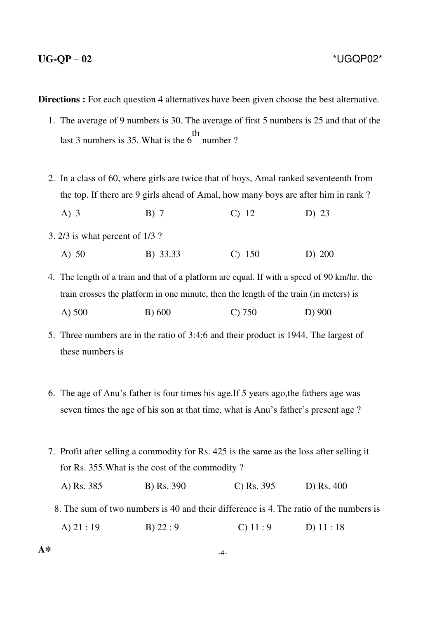**Directions :** For each question 4 alternatives have been given choose the best alternative.

- 1. The average of 9 numbers is 30. The average of first 5 numbers is 25 and that of the last 3 numbers is 35. What is the 6 th number ?
- 2. In a class of 60, where girls are twice that of boys, Amal ranked seventeenth from the top. If there are 9 girls ahead of Amal, how many boys are after him in rank ? A) 3 B) 7 C) 12 D) 23 3. 2/3 is what percent of 1/3 ?
	- A) 50 B) 33.33 C) 150 D) 200

4. The length of a train and that of a platform are equal. If with a speed of 90 km/hr. the train crosses the platform in one minute, then the length of the train (in meters) is A) 500 B) 600 C) 750 D) 900

- 5. Three numbers are in the ratio of 3:4:6 and their product is 1944. The largest of these numbers is
- 6. The age of Anu's father is four times his age.If 5 years ago,the fathers age was seven times the age of his son at that time, what is Anu's father's present age ?
- 7. Profit after selling a commodity for Rs. 425 is the same as the loss after selling it for Rs. 355.What is the cost of the commodity ?

| A) Rs. 385<br><b>B</b> ) Rs. 390<br>C) Rs. $395$ | D) Rs. 400 |
|--------------------------------------------------|------------|
|--------------------------------------------------|------------|

8. The sum of two numbers is 40 and their difference is 4. The ratio of the numbers is

A) 21 : 19 B) 22 : 9 C) 11 : 9 D) 11 : 18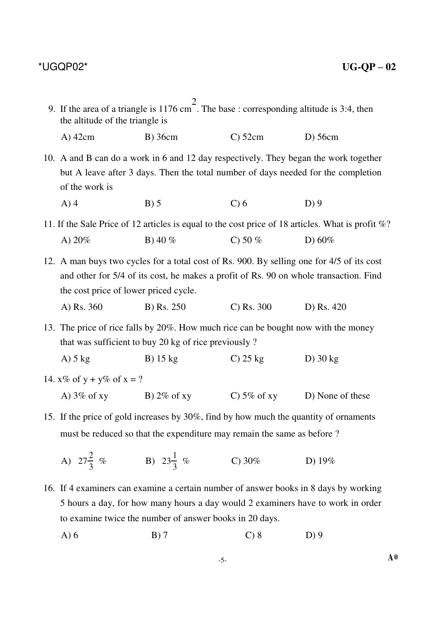| 9. If the area of a triangle is 1176 cm <sup>2</sup> . The base : corresponding altitude is 3:4, then<br>the altitude of the triangle is                        |                                                                                                                                                                                                  |               |                                                                                                       |  |
|-----------------------------------------------------------------------------------------------------------------------------------------------------------------|--------------------------------------------------------------------------------------------------------------------------------------------------------------------------------------------------|---------------|-------------------------------------------------------------------------------------------------------|--|
| $A)$ 42cm                                                                                                                                                       | $B)$ 36cm                                                                                                                                                                                        | $C0$ 52cm     | $D)$ 56cm                                                                                             |  |
| of the work is                                                                                                                                                  | 10. A and B can do a work in 6 and 12 day respectively. They began the work together<br>but A leave after 3 days. Then the total number of days needed for the completion                        |               |                                                                                                       |  |
| $A)$ 4                                                                                                                                                          | B) 5                                                                                                                                                                                             | $C$ ) 6       | $D$ ) 9                                                                                               |  |
|                                                                                                                                                                 |                                                                                                                                                                                                  |               | 11. If the Sale Price of 12 articles is equal to the cost price of 18 articles. What is profit $\%$ ? |  |
| A) $20%$                                                                                                                                                        | B) 40 $%$                                                                                                                                                                                        | C) 50 $%$     | D) $60\%$                                                                                             |  |
| the cost price of lower priced cycle.<br>A) Rs. 360                                                                                                             | 12. A man buys two cycles for a total cost of Rs. 900. By selling one for 4/5 of its cost<br>and other for 5/4 of its cost, he makes a profit of Rs. 90 on whole transaction. Find<br>B) Rs. 250 | $C)$ Rs. 300  | D) Rs. 420                                                                                            |  |
|                                                                                                                                                                 | 13. The price of rice falls by 20%. How much rice can be bought now with the money<br>that was sufficient to buy 20 kg of rice previously?                                                       |               |                                                                                                       |  |
| $A)$ 5 kg                                                                                                                                                       | $B)$ 15 kg                                                                                                                                                                                       | $C$ ) 25 kg   | D $)$ 30 kg                                                                                           |  |
| 14. $x\%$ of $y + y\%$ of $x = ?$                                                                                                                               |                                                                                                                                                                                                  |               |                                                                                                       |  |
| A) $3\%$ of xy B) $2\%$ of xy                                                                                                                                   |                                                                                                                                                                                                  | C) 5% of $xy$ | D) None of these                                                                                      |  |
| 15. If the price of gold increases by 30%, find by how much the quantity of ornaments<br>must be reduced so that the expenditure may remain the same as before? |                                                                                                                                                                                                  |               |                                                                                                       |  |
| A) $27\frac{2}{3}$ % B) $23\frac{1}{3}$ %                                                                                                                       |                                                                                                                                                                                                  | C) $30\%$     | D) $19\%$                                                                                             |  |
|                                                                                                                                                                 | 16. If 4 examiners can examine a certain number of answer books in 8 days by working<br>5 hours a day, for how many hours a day would 2 examiners have to work in order                          |               |                                                                                                       |  |

A) 6 B) 7 C) 8 D) 9

to examine twice the number of answer books in 20 days.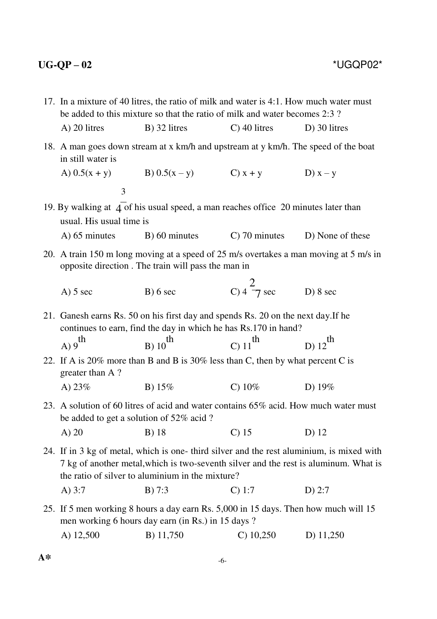| 17. In a mixture of 40 litres, the ratio of milk and water is 4:1. How much water must<br>be added to this mixture so that the ratio of milk and water becomes 2:3?                                                                  |                                                                                                                                                      |                                |                                |  |
|--------------------------------------------------------------------------------------------------------------------------------------------------------------------------------------------------------------------------------------|------------------------------------------------------------------------------------------------------------------------------------------------------|--------------------------------|--------------------------------|--|
| A) 20 litres                                                                                                                                                                                                                         | $B)$ 32 litres                                                                                                                                       | $C$ ) 40 litres                | $D$ ) 30 litres                |  |
| in still water is                                                                                                                                                                                                                    | 18. A man goes down stream at x km/h and upstream at y km/h. The speed of the boat                                                                   |                                |                                |  |
| A) $0.5(x + y)$                                                                                                                                                                                                                      | B) $0.5(x - y)$ C) $x + y$                                                                                                                           |                                | D) $x - y$                     |  |
| 3                                                                                                                                                                                                                                    |                                                                                                                                                      |                                |                                |  |
| usual. His usual time is                                                                                                                                                                                                             | 19. By walking at 4 of his usual speed, a man reaches office 20 minutes later than                                                                   |                                |                                |  |
| $A)$ 65 minutes                                                                                                                                                                                                                      | B) 60 minutes                                                                                                                                        |                                | C) 70 minutes D) None of these |  |
|                                                                                                                                                                                                                                      | 20. A train 150 m long moving at a speed of 25 m/s overtakes a man moving at 5 m/s in<br>opposite direction. The train will pass the man in          |                                |                                |  |
| $A)$ 5 sec                                                                                                                                                                                                                           | B) 6 sec                                                                                                                                             | C) $4\frac{2}{7}$ sec D) 8 sec |                                |  |
|                                                                                                                                                                                                                                      | 21. Ganesh earns Rs. 50 on his first day and spends Rs. 20 on the next day. If he<br>continues to earn, find the day in which he has Rs.170 in hand? |                                |                                |  |
| th<br>A)9                                                                                                                                                                                                                            | $B) 10$ <sup>th</sup>                                                                                                                                | C) $11^{th}$                   | $D) 12$ <sup>th</sup>          |  |
| greater than A?                                                                                                                                                                                                                      | 22. If A is 20% more than B and B is 30% less than C, then by what percent C is                                                                      |                                |                                |  |
| A) $23%$                                                                                                                                                                                                                             | B) $15%$                                                                                                                                             | C) $10\%$                      | D) $19%$                       |  |
| be added to get a solution of 52% acid?                                                                                                                                                                                              | 23. A solution of 60 litres of acid and water contains 65% acid. How much water must                                                                 |                                |                                |  |
| $A)$ 20                                                                                                                                                                                                                              | B) 18                                                                                                                                                | $C$ ) 15                       | D) 12                          |  |
| 24. If in 3 kg of metal, which is one-third silver and the rest aluminium, is mixed with<br>7 kg of another metal, which is two-seventh silver and the rest is aluminum. What is<br>the ratio of silver to aluminium in the mixture? |                                                                                                                                                      |                                |                                |  |
| A) $3:7$                                                                                                                                                                                                                             | B) 7:3                                                                                                                                               | $C)$ 1:7                       | $D)$ 2:7                       |  |
|                                                                                                                                                                                                                                      | 25. If 5 men working 8 hours a day earn Rs. 5,000 in 15 days. Then how much will 15<br>men working 6 hours day earn (in Rs.) in 15 days ?            |                                |                                |  |
| A) 12,500                                                                                                                                                                                                                            | B) 11,750                                                                                                                                            | $C)$ 10,250                    | D) $11,250$                    |  |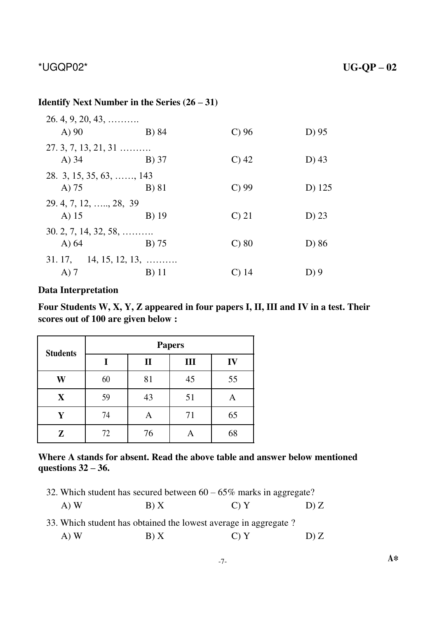## **Identify Next Number in the Series (26 – 31)**

| $26.4, 9, 20, 43, \ldots$       |         |                    |          |
|---------------------------------|---------|--------------------|----------|
| A)90                            | B) 84   | $C$ ) 96           | D) 95    |
| $27.3, 7, 13, 21, 31 \ldots$    |         |                    |          |
| $A)$ 34                         | B) 37   | $C$ ) 42           | D $(43)$ |
| 28. 3, 15, 35, 63, , 143        |         |                    |          |
| A) $75$                         | B) 81   | $C$ ) 99           | D) 125   |
| 29. 4, 7, 12, , 28, 39          |         |                    |          |
| A) $15$                         | B) 19   | $\mathcal{C}$ ) 21 | $D)$ 23  |
| $30.2, 7, 14, 32, 58, \ldots$   |         |                    |          |
| A $\overline{)64}$              | $B)$ 75 | $C$ ) 80           | D) 86    |
| $31.17, 14, 15, 12, 13, \ldots$ |         |                    |          |
| $A)$ 7                          | B) 11   | $\rm C)$ 14        | $D$ ) 9  |

## **Data Interpretation**

**Four Students W, X, Y, Z appeared in four papers I, II, III and IV in a test. Their scores out of 100 are given below :**

| <b>Students</b> | <b>Papers</b> |              |    |    |  |
|-----------------|---------------|--------------|----|----|--|
|                 |               | $\mathbf{I}$ | Ш  | IV |  |
| W               | 60            | 81           | 45 | 55 |  |
| X               | 59            | 43           | 51 | Α  |  |
| Ý               | 74            | A            | 71 | 65 |  |
| Z               | 72            | 76           |    | 68 |  |

## **Where A stands for absent. Read the above table and answer below mentioned questions 32 – 36.**

| 32. Which student has secured between $60 - 65\%$ marks in aggregate? |      |      |      |  |  |  |
|-----------------------------------------------------------------------|------|------|------|--|--|--|
| $(A)$ W                                                               | B(X) | C) Y | D'Z  |  |  |  |
| 33. Which student has obtained the lowest average in aggregate?       |      |      |      |  |  |  |
| $(A)$ W                                                               | B) X | C(Y) | D) Z |  |  |  |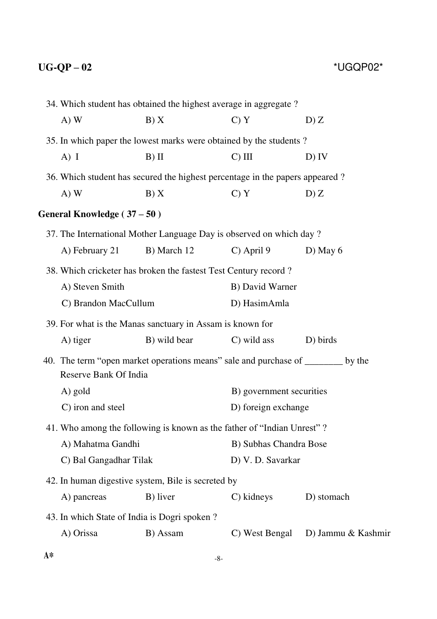|      |                                              | 34. Which student has obtained the highest average in aggregate?                |                          |                    |  |
|------|----------------------------------------------|---------------------------------------------------------------------------------|--------------------------|--------------------|--|
|      | $A)$ W                                       | B) X                                                                            | C) Y                     | D)Z                |  |
|      |                                              | 35. In which paper the lowest marks were obtained by the students?              |                          |                    |  |
|      | $A)$ I                                       | $B)$ II                                                                         | $C)$ III                 | $D)$ IV            |  |
|      |                                              | 36. Which student has secured the highest percentage in the papers appeared?    |                          |                    |  |
|      | $A)$ W                                       | B) X                                                                            | C) Y                     | D)Z                |  |
|      | General Knowledge (37 – 50)                  |                                                                                 |                          |                    |  |
|      |                                              | 37. The International Mother Language Day is observed on which day?             |                          |                    |  |
|      | A) February 21                               | B) March 12                                                                     | $C)$ April 9             | D) May $6$         |  |
|      |                                              | 38. Which cricketer has broken the fastest Test Century record?                 |                          |                    |  |
|      | A) Steven Smith                              |                                                                                 | B) David Warner          |                    |  |
|      | C) Brandon MacCullum                         |                                                                                 | D) HasimAmla             |                    |  |
|      |                                              | 39. For what is the Manas sanctuary in Assam is known for                       |                          |                    |  |
|      | A) tiger                                     | B) wild bear                                                                    | C) wild ass              | D) birds           |  |
|      | Reserve Bank Of India                        | 40. The term "open market operations means" sale and purchase of _______ by the |                          |                    |  |
|      | A) gold                                      |                                                                                 | B) government securities |                    |  |
|      | C) iron and steel                            |                                                                                 | D) foreign exchange      |                    |  |
|      |                                              | 41. Who among the following is known as the father of "Indian Unrest"?          |                          |                    |  |
|      | A) Mahatma Gandhi                            |                                                                                 | B) Subhas Chandra Bose   |                    |  |
|      | C) Bal Gangadhar Tilak                       |                                                                                 | D) V. D. Savarkar        |                    |  |
|      |                                              | 42. In human digestive system, Bile is secreted by                              |                          |                    |  |
|      | A) pancreas                                  | B) liver                                                                        | C) kidneys               | D) stomach         |  |
|      | 43. In which State of India is Dogri spoken? |                                                                                 |                          |                    |  |
|      | A) Orissa                                    | B) Assam                                                                        | C) West Bengal           | D) Jammu & Kashmir |  |
| $A*$ |                                              | $-8-$                                                                           |                          |                    |  |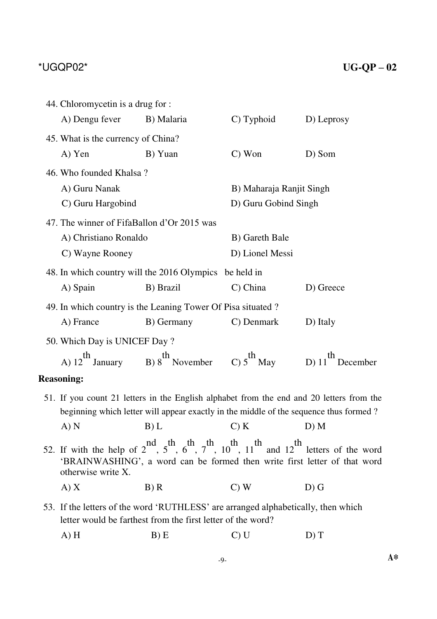| 44. Chloromycetin is a drug for :          |                                                                                                                                                                                                          |                          |            |  |  |
|--------------------------------------------|----------------------------------------------------------------------------------------------------------------------------------------------------------------------------------------------------------|--------------------------|------------|--|--|
| A) Dengu fever                             | B) Malaria                                                                                                                                                                                               | C) Typhoid               | D) Leprosy |  |  |
| 45. What is the currency of China?         |                                                                                                                                                                                                          |                          |            |  |  |
| A) Yen                                     | B) Yuan                                                                                                                                                                                                  | $C)$ Won                 | D) Som     |  |  |
| 46. Who founded Khalsa?                    |                                                                                                                                                                                                          |                          |            |  |  |
| A) Guru Nanak                              |                                                                                                                                                                                                          | B) Maharaja Ranjit Singh |            |  |  |
| C) Guru Hargobind                          |                                                                                                                                                                                                          | D) Guru Gobind Singh     |            |  |  |
| 47. The winner of FifaBallon d'Or 2015 was |                                                                                                                                                                                                          |                          |            |  |  |
| A) Christiano Ronaldo                      |                                                                                                                                                                                                          | B) Gareth Bale           |            |  |  |
| C) Wayne Rooney                            |                                                                                                                                                                                                          | D) Lionel Messi          |            |  |  |
|                                            | 48. In which country will the 2016 Olympics be held in                                                                                                                                                   |                          |            |  |  |
| A) Spain                                   | B) Brazil                                                                                                                                                                                                | C) China                 | D) Greece  |  |  |
|                                            | 49. In which country is the Leaning Tower Of Pisa situated ?                                                                                                                                             |                          |            |  |  |
| A) France                                  | B) Germany                                                                                                                                                                                               | C) Denmark               | D) Italy   |  |  |
| 50. Which Day is UNICEF Day?               |                                                                                                                                                                                                          |                          |            |  |  |
|                                            | A) $12^{th}$ January B) $8^{th}$ November C) $5^{th}$ May D) $11^{th}$ December                                                                                                                          |                          |            |  |  |
| <b>Reasoning:</b>                          |                                                                                                                                                                                                          |                          |            |  |  |
|                                            | 51. If you count 21 letters in the English alphabet from the end and 20 letters from the                                                                                                                 |                          |            |  |  |
|                                            | beginning which letter will appear exactly in the middle of the sequence thus formed?                                                                                                                    |                          |            |  |  |
|                                            | $A) N$ $B) L$ $C) K$ $D) M$                                                                                                                                                                              |                          |            |  |  |
| otherwise write X.                         | 52. If with the help of $2^{nd}$ , $5^{th}$ , $6^{th}$ , $7^{th}$ , $10^{th}$ , $11^{th}$ and $12^{th}$ letters of the word<br>'BRAINWASHING', a word can be formed then write first letter of that word |                          |            |  |  |
| A) X                                       | B) R                                                                                                                                                                                                     | $C)$ W                   | $D)$ G     |  |  |
|                                            | 53. If the letters of the word 'RUTHLESS' are arranged alphabetically, then which<br>letter would be farthest from the first letter of the word?                                                         |                          |            |  |  |

A) H B) E C) U D) T

-9- **A\***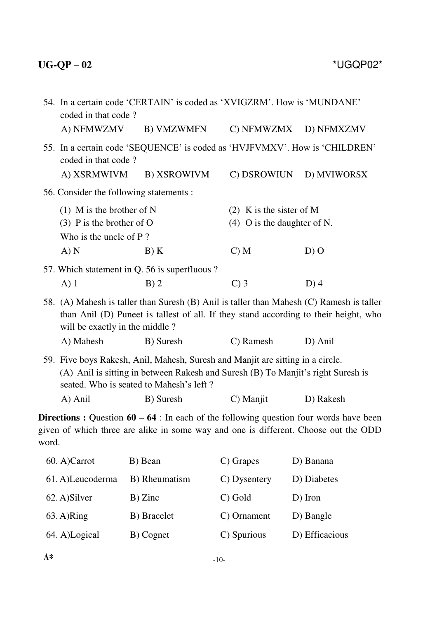|       | 54. In a certain code 'CERTAIN' is coded as 'XVIGZRM'. How is 'MUNDANE'<br>coded in that code? |                                                                                                                                                                                                                            |                               |                                                                                                 |  |
|-------|------------------------------------------------------------------------------------------------|----------------------------------------------------------------------------------------------------------------------------------------------------------------------------------------------------------------------------|-------------------------------|-------------------------------------------------------------------------------------------------|--|
|       | A) NFMWZMV                                                                                     | <b>B) VMZWMFN</b>                                                                                                                                                                                                          | C) NFMWZMX                    | D) NFMXZMV                                                                                      |  |
|       | coded in that code?                                                                            | 55. In a certain code 'SEQUENCE' is coded as 'HVJFVMXV'. How is 'CHILDREN'                                                                                                                                                 |                               |                                                                                                 |  |
|       | A) XSRMWIVM                                                                                    | <b>B) XSROWIVM</b>                                                                                                                                                                                                         | C) DSROWIUN                   | D) MVIWORSX                                                                                     |  |
|       | 56. Consider the following statements :                                                        |                                                                                                                                                                                                                            |                               |                                                                                                 |  |
|       | $(1)$ M is the brother of N                                                                    |                                                                                                                                                                                                                            | $(2)$ K is the sister of M    |                                                                                                 |  |
|       | $(3)$ P is the brother of O                                                                    |                                                                                                                                                                                                                            | $(4)$ O is the daughter of N. |                                                                                                 |  |
|       | Who is the uncle of P?<br>A) N                                                                 | B) K                                                                                                                                                                                                                       | C) M                          | $D)$ O                                                                                          |  |
|       |                                                                                                |                                                                                                                                                                                                                            |                               |                                                                                                 |  |
|       | $A)$ 1                                                                                         | 57. Which statement in Q. 56 is superfluous?<br>$B)$ 2                                                                                                                                                                     | $C$ ) 3                       | $D$ ) 4                                                                                         |  |
|       | will be exactly in the middle?                                                                 | 58. (A) Mahesh is taller than Suresh (B) Anil is taller than Mahesh (C) Ramesh is taller<br>than Anil (D) Puneet is tallest of all. If they stand according to their height, who                                           |                               |                                                                                                 |  |
|       | A) Mahesh                                                                                      | B) Suresh                                                                                                                                                                                                                  | C) Ramesh                     | D) Anil                                                                                         |  |
|       | A) Anil                                                                                        | 59. Five boys Rakesh, Anil, Mahesh, Suresh and Manjit are sitting in a circle.<br>(A) Anil is sitting in between Rakesh and Suresh (B) To Manjit's right Suresh is<br>seated. Who is seated to Mahesh's left?<br>B) Suresh | C) Manjit                     | D) Rakesh                                                                                       |  |
| word. |                                                                                                | given of which three are alike in some way and one is different. Choose out the ODD                                                                                                                                        |                               | <b>Directions :</b> Question $60 - 64$ : In each of the following question four words have been |  |
|       | 60. A)Carrot                                                                                   | B) Bean                                                                                                                                                                                                                    | C) Grapes                     | D) Banana                                                                                       |  |
|       | 61. A)Leucoderma                                                                               | B) Rheumatism                                                                                                                                                                                                              | C) Dysentery                  | D) Diabetes                                                                                     |  |
|       | 62. A)Silver                                                                                   | B) Zinc                                                                                                                                                                                                                    | C) Gold                       | $D)$ Iron                                                                                       |  |

64. A)Logical B) Cognet C) Spurious D) Efficacious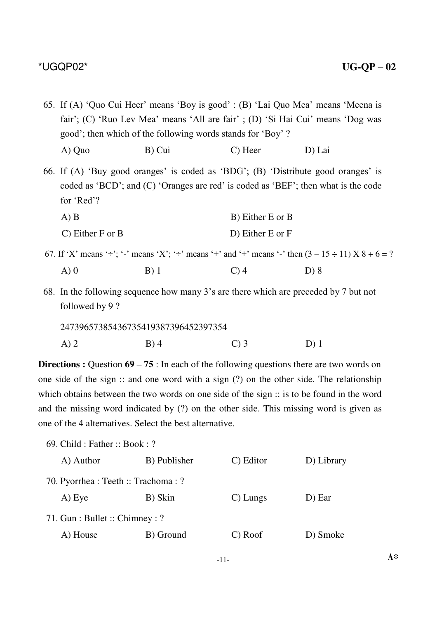65. If (A) 'Quo Cui Heer' means 'Boy is good' : (B) 'Lai Quo Mea' means 'Meena is fair'; (C) 'Ruo Lev Mea' means 'All are fair' ; (D) 'Si Hai Cui' means 'Dog was good'; then which of the following words stands for 'Boy' ? A) Quo B) Cui C) Heer D) Lai

66. If (A) 'Buy good oranges' is coded as 'BDG'; (B) 'Distribute good oranges' is coded as 'BCD'; and (C) 'Oranges are red' is coded as 'BEF'; then what is the code for 'Red'?

| A) B                           | B) Either E or B |
|--------------------------------|------------------|
| $\overline{C}$ ) Either F or B | D) Either E or F |

- 67. If 'X' means ' $\div$ '; '-' means 'X'; ' $\div$ ' means '+' and '+' means '-' then  $(3 15 \div 11)$  X  $8 + 6 = ?$ A) 0 B) 1 C) 4 D) 8
- 68. In the following sequence how many 3's are there which are preceded by 7 but not followed by 9 ?

| 24739657385436735419387396452397354 |         |                   |        |  |  |  |
|-------------------------------------|---------|-------------------|--------|--|--|--|
| $A)$ 2                              | $B$ ) 4 | $\mathcal{C}$ ) 3 | $D)$ 1 |  |  |  |

**Directions :** Question 69 – 75 : In each of the following questions there are two words on one side of the sign :: and one word with a sign (?) on the other side. The relationship which obtains between the two words on one side of the sign :: is to be found in the word and the missing word indicated by (?) on the other side. This missing word is given as one of the 4 alternatives. Select the best alternative.

69. Child : Father :: Book : ?

| A) Author                            | B) Publisher | C) Editor   | D) Library |
|--------------------------------------|--------------|-------------|------------|
| 70. Pyorrhea : Teeth :: Trachoma : ? |              |             |            |
| A) Eye                               | B) Skin      | $C$ ) Lungs | D) Ear     |
| 71. Gun : Bullet :: Chimney : ?      |              |             |            |
| A) House                             | B) Ground    | C) Roof     | D) Smoke   |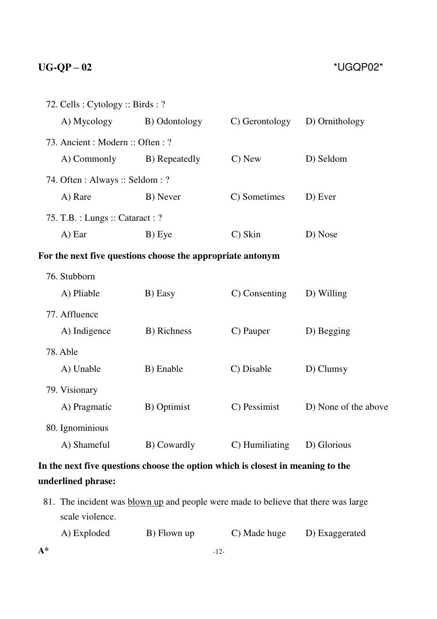|                                                                                 | 72. Cells: Cytology: Birds: ? |                |                      |  |
|---------------------------------------------------------------------------------|-------------------------------|----------------|----------------------|--|
| A) Mycology                                                                     | B) Odontology                 | C) Gerontology | D) Ornithology       |  |
| 73. Ancient: Modern: Often: ?                                                   |                               |                |                      |  |
| A) Commonly                                                                     | B) Repeatedly                 | C) New         | D) Seldom            |  |
| 74. Often : Always :: Seldom : ?                                                |                               |                |                      |  |
| A) Rare                                                                         | B) Never                      | C) Sometimes   | D) Ever              |  |
| 75. T.B. : Lungs :: Cataract : ?                                                |                               |                |                      |  |
| A) Ear                                                                          | B) Eye                        | C) Skin        | D) Nose              |  |
| For the next five questions choose the appropriate antonym                      |                               |                |                      |  |
| 76. Stubborn                                                                    |                               |                |                      |  |
| A) Pliable                                                                      | B) Easy                       | C) Consenting  | D) Willing           |  |
| 77. Affluence                                                                   |                               |                |                      |  |
| A) Indigence                                                                    | B) Richness                   | C) Pauper      | D) Begging           |  |
| 78. Able                                                                        |                               |                |                      |  |
| A) Unable                                                                       | B) Enable                     | C) Disable     | D) Clumsy            |  |
| 79. Visionary                                                                   |                               |                |                      |  |
| A) Pragmatic                                                                    | B) Optimist                   | C) Pessimist   | D) None of the above |  |
| 80. Ignominious                                                                 |                               |                |                      |  |
| A) Shameful                                                                     | B) Cowardly                   | C) Humiliating | D) Glorious          |  |
| In the next five questions choose the option which is closest in meaning to the |                               |                |                      |  |

## **underlined phrase:**

81. The incident was **blown up** and people were made to believe that there was large scale violence.

| A) Exploded | B) Flown up | C) Made huge | D) Exaggerated |
|-------------|-------------|--------------|----------------|
|-------------|-------------|--------------|----------------|

 $A^*$  -12-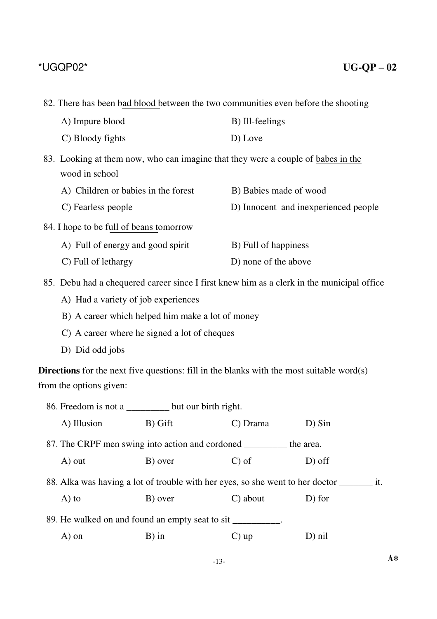82. There has been bad blood between the two communities even before the shooting

| A) Impure blood                                                                  | B) Ill-feelings                      |
|----------------------------------------------------------------------------------|--------------------------------------|
| C) Bloody fights                                                                 | D) Love                              |
| 83. Looking at them now, who can imagine that they were a couple of babes in the |                                      |
| wood in school                                                                   |                                      |
| A) Children or babies in the forest                                              | B) Babies made of wood               |
| C) Fearless people                                                               | D) Innocent and inexperienced people |
| 84. I hope to be full of beans tomorrow                                          |                                      |
| A) Full of energy and good spirit                                                | B) Full of happiness                 |
| C) Full of lethargy                                                              | D) none of the above                 |

85. Debu had a chequered career since I first knew him as a clerk in the municipal office

A) Had a variety of job experiences

B) A career which helped him make a lot of money

- C) A career where he signed a lot of cheques
- D) Did odd jobs

**Directions** for the next five questions: fill in the blanks with the most suitable word(s) from the options given:

|                                                                                          | 86. Freedom is not a ___________ but our birth right.                |         |                    |           |
|------------------------------------------------------------------------------------------|----------------------------------------------------------------------|---------|--------------------|-----------|
|                                                                                          | A) Illusion                                                          | B) Gift | C) Drama           | $D)$ Sin  |
|                                                                                          | 87. The CRPF men swing into action and cordoned __________ the area. |         |                    |           |
|                                                                                          | A) out                                                               | B) over | $\mathcal{C}$ ) of | $D$ ) off |
| 88. Alka was having a lot of trouble with her eyes, so she went to her doctor ___<br>it. |                                                                      |         |                    |           |
|                                                                                          | $A)$ to                                                              | B) over | C) about           | D) for    |
| 89. He walked on and found an empty seat to sit __________.                              |                                                                      |         |                    |           |
|                                                                                          | A) on                                                                | $B)$ in | $\mathbf{C}$ ) up  | $D)$ nil  |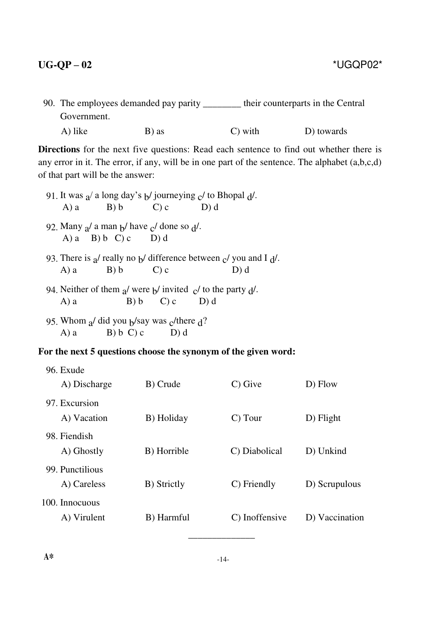90. The employees demanded pay parity \_\_\_\_\_\_\_\_ their counterparts in the Central Government. A) like B) as C) with D) towards

**Directions** for the next five questions: Read each sentence to find out whether there is any error in it. The error, if any, will be in one part of the sentence. The alphabet (a,b,c,d) of that part will be the answer:

- 91. It was  $a$  a long day's b journeying c to Bhopal d.<br>A) a B) b C) c D) d  $B) b$
- 92. Many  $a$  a man  $b$  have  $c$  done so  $d$ .<br>A) a B) b C) c D) d A) a B) b C) c
- 93. There is  $a$  really no  $b$  difference between  $c$  you and I  $d$ .<br>A) a B) b C) c D) d A) a B) b C) c D) d
- 94. Neither of them  $a$  were  $b$  invited  $c$  to the party  $d$ .<br>
A) a B) b C) c D) d  $\overline{C}$ ) c
- 95. Whom  $a/did$  you  $b/say$  was  $c/there$  d?<br>
A) a B) b C) c D) d  $B) b C$ ) c

### **For the next 5 questions choose the synonym of the given word:**

| 96. Exude                      |             |                |                |
|--------------------------------|-------------|----------------|----------------|
| A) Discharge                   | B) Crude    | C) Give        | D) Flow        |
| 97. Excursion<br>A) Vacation   | B) Holiday  | C) Tour        | D) Flight      |
| 98. Fiendish<br>A) Ghostly     | B) Horrible | C) Diabolical  | D) Unkind      |
| 99. Punctilious<br>A) Careless | B) Strictly | C) Friendly    | D) Scrupulous  |
| 100. Innocuous<br>A) Virulent  | B) Harmful  | C) Inoffensive | D) Vaccination |

\_\_\_\_\_\_\_\_\_\_\_\_\_\_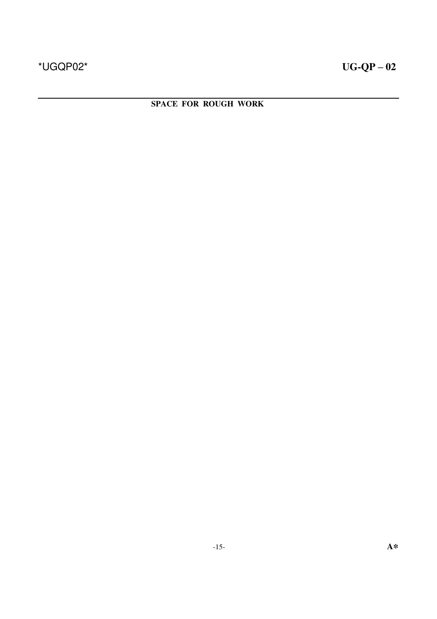**SPACE FOR ROUGH WORK**